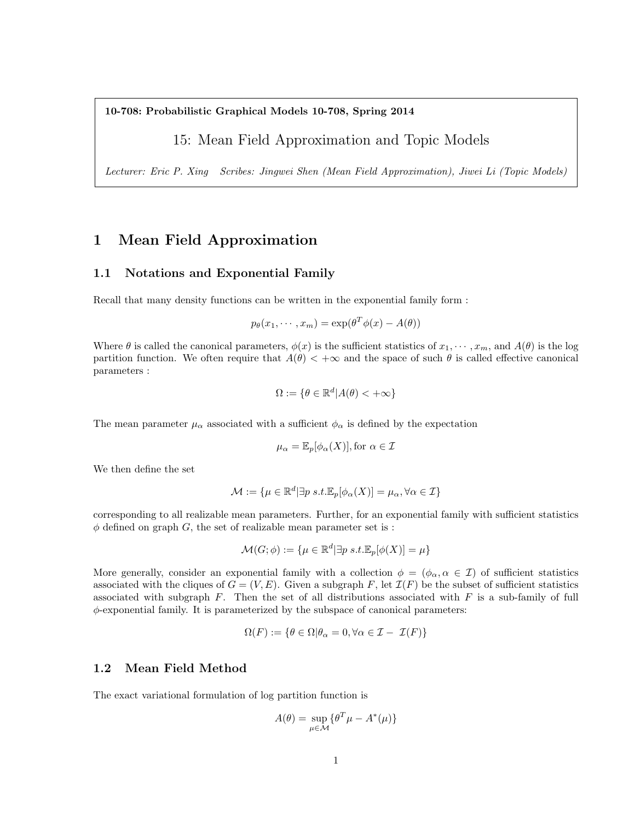10-708: Probabilistic Graphical Models 10-708, Spring 2014

## 15: Mean Field Approximation and Topic Models

Lecturer: Eric P. Xing Scribes: Jingwei Shen (Mean Field Approximation), Jiwei Li (Topic Models)

## 1 Mean Field Approximation

#### 1.1 Notations and Exponential Family

Recall that many density functions can be written in the exponential family form :

$$
p_{\theta}(x_1, \cdots, x_m) = \exp(\theta^T \phi(x) - A(\theta))
$$

Where  $\theta$  is called the canonical parameters,  $\phi(x)$  is the sufficient statistics of  $x_1, \dots, x_m$ , and  $A(\theta)$  is the log partition function. We often require that  $A(\theta) < +\infty$  and the space of such  $\theta$  is called effective canonical parameters :

$$
\Omega := \{ \theta \in \mathbb{R}^d | A(\theta) < +\infty \}
$$

The mean parameter  $\mu_{\alpha}$  associated with a sufficient  $\phi_{\alpha}$  is defined by the expectation

$$
\mu_{\alpha} = \mathbb{E}_{p}[\phi_{\alpha}(X)], \text{for } \alpha \in \mathcal{I}
$$

We then define the set

$$
\mathcal{M} := \{ \mu \in \mathbb{R}^d | \exists p \ s.t. \mathbb{E}_p[\phi_\alpha(X)] = \mu_\alpha, \forall \alpha \in \mathcal{I} \}
$$

corresponding to all realizable mean parameters. Further, for an exponential family with sufficient statistics  $\phi$  defined on graph G, the set of realizable mean parameter set is :

$$
\mathcal{M}(G; \phi) := \{ \mu \in \mathbb{R}^d | \exists p \ s.t. \mathbb{E}_p[\phi(X)] = \mu \}
$$

More generally, consider an exponential family with a collection  $\phi = (\phi_{\alpha}, \alpha \in \mathcal{I})$  of sufficient statistics associated with the cliques of  $G = (V, E)$ . Given a subgraph F, let  $\mathcal{I}(F)$  be the subset of sufficient statistics associated with subgraph  $F$ . Then the set of all distributions associated with  $F$  is a sub-family of full  $\phi$ -exponential family. It is parameterized by the subspace of canonical parameters:

$$
\Omega(F) := \{ \theta \in \Omega | \theta_{\alpha} = 0, \forall \alpha \in \mathcal{I} - \mathcal{I}(F) \}
$$

## 1.2 Mean Field Method

The exact variational formulation of log partition function is

$$
A(\theta) = \sup_{\mu \in \mathcal{M}} \{ \theta^T \mu - A^*(\mu) \}
$$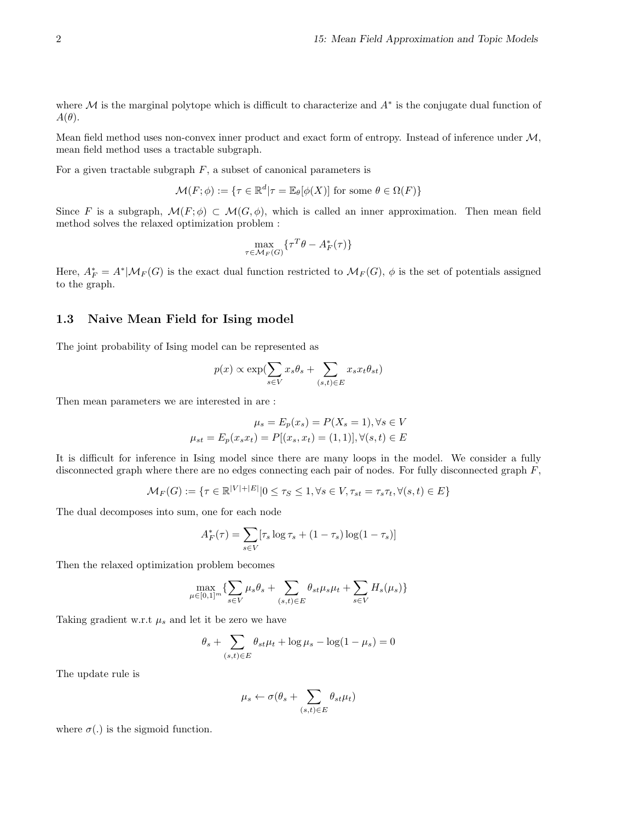where  $M$  is the marginal polytope which is difficult to characterize and  $A^*$  is the conjugate dual function of  $A(\theta)$ .

Mean field method uses non-convex inner product and exact form of entropy. Instead of inference under M, mean field method uses a tractable subgraph.

For a given tractable subgraph  $F$ , a subset of canonical parameters is

$$
\mathcal{M}(F; \phi) := \{ \tau \in \mathbb{R}^d | \tau = \mathbb{E}_{\theta}[\phi(X)] \text{ for some } \theta \in \Omega(F) \}
$$

Since F is a subgraph,  $\mathcal{M}(F;\phi) \subset \mathcal{M}(G,\phi)$ , which is called an inner approximation. Then mean field method solves the relaxed optimization problem :

$$
\max_{\tau \in \mathcal{M}_F(G)} \{ \tau^T \theta - A_F^*(\tau) \}
$$

Here,  $A_F^* = A^*|\mathcal{M}_F(G)$  is the exact dual function restricted to  $\mathcal{M}_F(G)$ ,  $\phi$  is the set of potentials assigned to the graph.

#### 1.3 Naive Mean Field for Ising model

The joint probability of Ising model can be represented as

$$
p(x) \propto \exp(\sum_{s \in V} x_s \theta_s + \sum_{(s,t) \in E} x_s x_t \theta_{st})
$$

Then mean parameters we are interested in are :

$$
\mu_s = E_p(x_s) = P(X_s = 1), \forall s \in V
$$
  

$$
\mu_{st} = E_p(x_s x_t) = P[(x_s, x_t) = (1, 1)], \forall (s, t) \in E
$$

It is difficult for inference in Ising model since there are many loops in the model. We consider a fully disconnected graph where there are no edges connecting each pair of nodes. For fully disconnected graph  $F$ ,

$$
\mathcal{M}_F(G) := \{ \tau \in \mathbb{R}^{|V|+|E|} | 0 \le \tau_S \le 1, \forall s \in V, \tau_{st} = \tau_s \tau_t, \forall (s, t) \in E \}
$$

The dual decomposes into sum, one for each node

$$
A_F^*(\tau) = \sum_{s \in V} [\tau_s \log \tau_s + (1 - \tau_s) \log(1 - \tau_s)]
$$

Then the relaxed optimization problem becomes

$$
\max_{\mu \in [0,1]^m} \{ \sum_{s \in V} \mu_s \theta_s + \sum_{(s,t) \in E} \theta_{st} \mu_s \mu_t + \sum_{s \in V} H_s(\mu_s) \}
$$

Taking gradient w.r.t  $\mu_s$  and let it be zero we have

$$
\theta_s + \sum_{(s,t)\in E} \theta_{st}\mu_t + \log \mu_s - \log(1-\mu_s) = 0
$$

The update rule is

$$
\mu_s \leftarrow \sigma(\theta_s + \sum_{(s,t) \in E}\theta_{st}\mu_t)
$$

where  $\sigma(.)$  is the sigmoid function.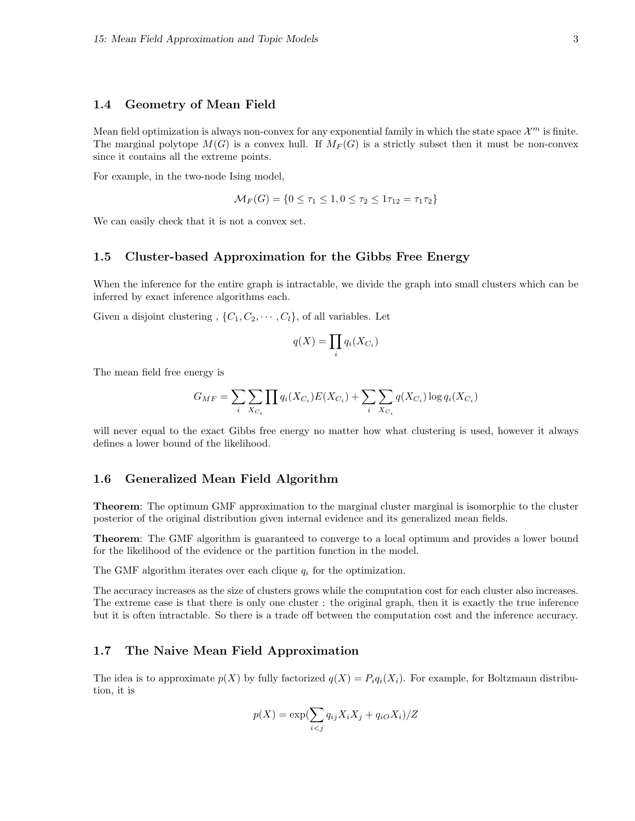#### 1.4 Geometry of Mean Field

Mean field optimization is always non-convex for any exponential family in which the state space  $\mathcal{X}^m$  is finite. The marginal polytope  $M(G)$  is a convex hull. If  $M_F(G)$  is a strictly subset then it must be non-convex since it contains all the extreme points.

For example, in the two-node Ising model,

$$
\mathcal{M}_F(G) = \{0 \le \tau_1 \le 1, 0 \le \tau_2 \le 1\tau_{12} = \tau_1\tau_2\}
$$

We can easily check that it is not a convex set.

#### 1.5 Cluster-based Approximation for the Gibbs Free Energy

When the inference for the entire graph is intractable, we divide the graph into small clusters which can be inferred by exact inference algorithms each.

Given a disjoint clustering ,  $\{C_1, C_2, \cdots, C_l\}$ , of all variables. Let

$$
q(X) = \prod_i q_i(X_{C_i})
$$

The mean field free energy is

$$
G_{MF} = \sum_i \sum_{X_{C_i}} \prod q_i(X_{C_i}) E(X_{C_i}) + \sum_i \sum_{X_{C_i}} q(X_{C_i}) \log q_i(X_{C_i})
$$

will never equal to the exact Gibbs free energy no matter how what clustering is used, however it always defines a lower bound of the likelihood.

#### 1.6 Generalized Mean Field Algorithm

**Theorem:** The optimum GMF approximation to the marginal cluster marginal is isomorphic to the cluster posterior of the original distribution given internal evidence and its generalized mean fields.

Theorem: The GMF algorithm is guaranteed to converge to a local optimum and provides a lower bound for the likelihood of the evidence or the partition function in the model.

The GMF algorithm iterates over each clique  $q_i$  for the optimization.

The accuracy increases as the size of clusters grows while the computation cost for each cluster also increases. The extreme case is that there is only one cluster : the original graph, then it is exactly the true inference but it is often intractable. So there is a trade off between the computation cost and the inference accuracy.

### 1.7 The Naive Mean Field Approximation

The idea is to approximate  $p(X)$  by fully factorized  $q(X) = P_i q_i(X_i)$ . For example, for Boltzmann distribution, it is

$$
p(X) = \exp\left(\sum_{i < j} q_{ij} X_i X_j + q_{iO} X_i\right) / Z
$$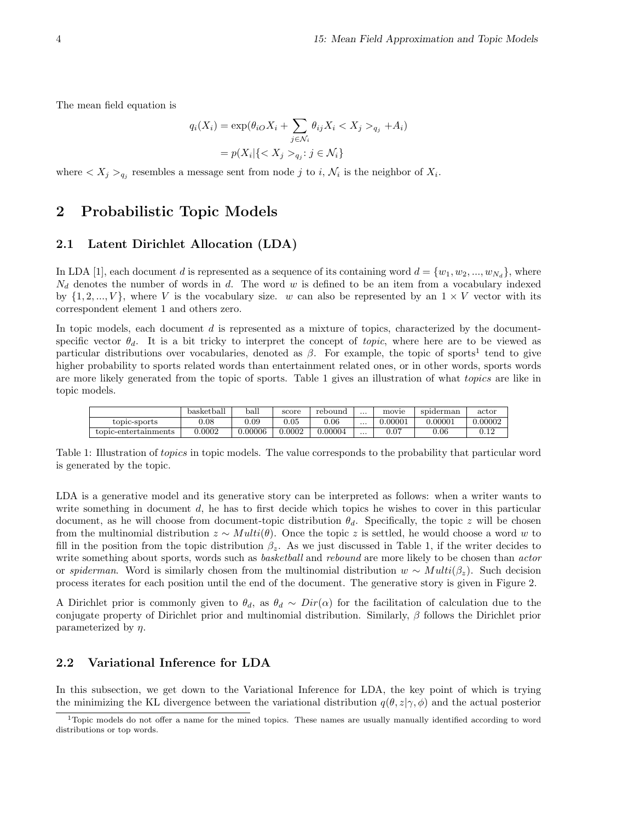The mean field equation is

$$
q_i(X_i) = \exp(\theta_{iO} X_i + \sum_{j \in \mathcal{N}_i} \theta_{ij} X_i < X_j >_{q_j} + A_i)
$$
\n
$$
= p(X_i | \{ < X_j >_{q_j} : j \in \mathcal{N}_i \}
$$

where  $\langle X_j \rangle_{q_j}$  resembles a message sent from node j to i,  $\mathcal{N}_i$  is the neighbor of  $X_i$ .

# 2 Probabilistic Topic Models

## 2.1 Latent Dirichlet Allocation (LDA)

In LDA [1], each document d is represented as a sequence of its containing word  $d = \{w_1, w_2, ..., w_{N_d}\}$ , where  $N_d$  denotes the number of words in d. The word w is defined to be an item from a vocabulary indexed by  $\{1, 2, ..., V\}$ , where V is the vocabulary size. w can also be represented by an  $1 \times V$  vector with its correspondent element 1 and others zero.

In topic models, each document  $d$  is represented as a mixture of topics, characterized by the documentspecific vector  $\theta_d$ . It is a bit tricky to interpret the concept of topic, where here are to be viewed as particular distributions over vocabularies, denoted as  $\beta$ . For example, the topic of sports<sup>1</sup> tend to give higher probability to sports related words than entertainment related ones, or in other words, sports words are more likely generated from the topic of sports. Table 1 gives an illustration of what topics are like in topic models.

|                      | basket ball | $_{\rm ball}$ | score  | rebound | $\cdots$ | movie   | spiderman | actor   |
|----------------------|-------------|---------------|--------|---------|----------|---------|-----------|---------|
| topic-sports         | 0.08        | 0.09          | 0.05   | 0.06    | $\cdots$ | 0.00001 | 0.00001   | 0.00002 |
| topic-entertainments | 0.0002      | 0.00006       | 0.0002 | 0.00004 | $\cdots$ | 0.07    | 0.06      |         |

Table 1: Illustration of topics in topic models. The value corresponds to the probability that particular word is generated by the topic.

LDA is a generative model and its generative story can be interpreted as follows: when a writer wants to write something in document d, he has to first decide which topics he wishes to cover in this particular document, as he will choose from document-topic distribution  $\theta_d$ . Specifically, the topic z will be chosen from the multinomial distribution  $z \sim Multi(\theta)$ . Once the topic z is settled, he would choose a word w to fill in the position from the topic distribution  $\beta_z$ . As we just discussed in Table 1, if the writer decides to write something about sports, words such as *basketball* and *rebound* are more likely to be chosen than *actor* or spiderman. Word is similarly chosen from the multinomial distribution  $w \sim Multi(\beta_z)$ . Such decision process iterates for each position until the end of the document. The generative story is given in Figure 2.

A Dirichlet prior is commonly given to  $\theta_d$ , as  $\theta_d \sim Dir(\alpha)$  for the facilitation of calculation due to the conjugate property of Dirichlet prior and multinomial distribution. Similarly,  $\beta$  follows the Dirichlet prior parameterized by  $\eta$ .

#### 2.2 Variational Inference for LDA

In this subsection, we get down to the Variational Inference for LDA, the key point of which is trying the minimizing the KL divergence between the variational distribution  $q(\theta, z|\gamma, \phi)$  and the actual posterior

<sup>&</sup>lt;sup>1</sup>Topic models do not offer a name for the mined topics. These names are usually manually identified according to word distributions or top words.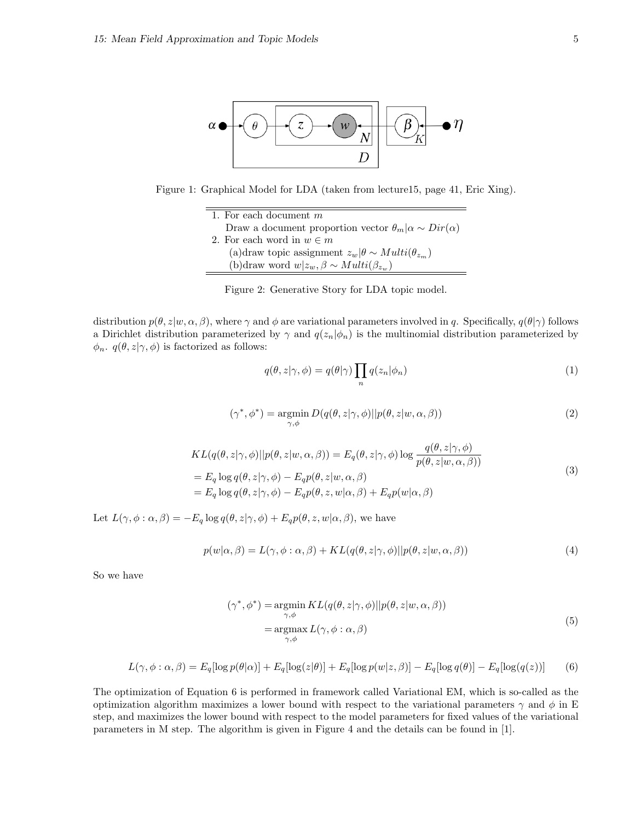

Figure 1: Graphical Model for LDA (taken from lecture15, page 41, Eric Xing).

1. For each document  $m$ Draw a document proportion vector  $\theta_m | \alpha \sim Dir(\alpha)$ 2. For each word in  $w \in m$ (a)draw topic assignment  $z_w|\theta \sim Multi(\theta_{z_m})$ (b)draw word  $w|z_w, \beta \sim Multi(\beta_{z_w})$ 

Figure 2: Generative Story for LDA topic model.

distribution  $p(\theta, z|w, \alpha, \beta)$ , where  $\gamma$  and  $\phi$  are variational parameters involved in q. Specifically,  $q(\theta|\gamma)$  follows a Dirichlet distribution parameterized by  $\gamma$  and  $q(z_n|\phi_n)$  is the multinomial distribution parameterized by  $\phi_n$ .  $q(\theta, z | \gamma, \phi)$  is factorized as follows:

$$
q(\theta, z | \gamma, \phi) = q(\theta | \gamma) \prod_{n} q(z_n | \phi_n)
$$
\n(1)

$$
(\gamma^*, \phi^*) = \underset{\gamma, \phi}{\text{argmin}} D(q(\theta, z | \gamma, \phi) || p(\theta, z | w, \alpha, \beta))
$$
\n(2)

$$
KL(q(\theta, z | \gamma, \phi) || p(\theta, z | w, \alpha, \beta)) = E_q(\theta, z | \gamma, \phi) \log \frac{q(\theta, z | \gamma, \phi)}{p(\theta, z | w, \alpha, \beta)}
$$
  
=  $E_q \log q(\theta, z | \gamma, \phi) - E_q p(\theta, z | w, \alpha, \beta)$   
=  $E_q \log q(\theta, z | \gamma, \phi) - E_q p(\theta, z, w | \alpha, \beta) + E_q p(w | \alpha, \beta)$  (3)

Let  $L(\gamma, \phi : \alpha, \beta) = -E_q \log q(\theta, z | \gamma, \phi) + E_q p(\theta, z, w | \alpha, \beta)$ , we have

$$
p(w|\alpha, \beta) = L(\gamma, \phi : \alpha, \beta) + KL(q(\theta, z|\gamma, \phi)||p(\theta, z|w, \alpha, \beta))
$$
\n(4)

So we have

$$
(\gamma^*, \phi^*) = \underset{\gamma, \phi}{\operatorname{argmin}} KL(q(\theta, z | \gamma, \phi) || p(\theta, z | w, \alpha, \beta))
$$
  
= 
$$
\underset{\gamma, \phi}{\operatorname{argmax}} L(\gamma, \phi : \alpha, \beta)
$$
 (5)

$$
L(\gamma, \phi : \alpha, \beta) = E_q[\log p(\theta|\alpha)] + E_q[\log(z|\theta)] + E_q[\log p(w|z, \beta)] - E_q[\log q(\theta)] - E_q[\log(q(z))]
$$
(6)

The optimization of Equation 6 is performed in framework called Variational EM, which is so-called as the optimization algorithm maximizes a lower bound with respect to the variational parameters  $\gamma$  and  $\phi$  in E step, and maximizes the lower bound with respect to the model parameters for fixed values of the variational parameters in M step. The algorithm is given in Figure 4 and the details can be found in [1].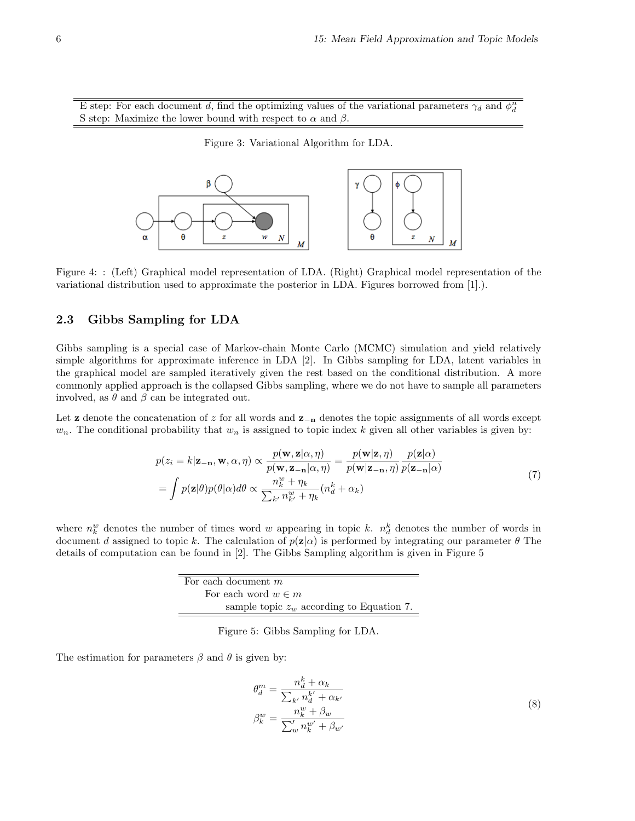E step: For each document d, find the optimizing values of the variational parameters  $\gamma_d$  and  $\phi_d^n$ S step: Maximize the lower bound with respect to  $\alpha$  and  $\beta$ .

Figure 3: Variational Algorithm for LDA.



Figure 4: : (Left) Graphical model representation of LDA. (Right) Graphical model representation of the variational distribution used to approximate the posterior in LDA. Figures borrowed from [1].).

#### 2.3 Gibbs Sampling for LDA

Gibbs sampling is a special case of Markov-chain Monte Carlo (MCMC) simulation and yield relatively simple algorithms for approximate inference in LDA [2]. In Gibbs sampling for LDA, latent variables in the graphical model are sampled iteratively given the rest based on the conditional distribution. A more commonly applied approach is the collapsed Gibbs sampling, where we do not have to sample all parameters involved, as  $\theta$  and  $\beta$  can be integrated out.

Let **z** denote the concatenation of z for all words and  $\mathbf{z}_{-n}$  denotes the topic assignments of all words except  $w_n$ . The conditional probability that  $w_n$  is assigned to topic index k given all other variables is given by:

$$
p(z_i = k | \mathbf{z}_{-\mathbf{n}}, \mathbf{w}, \alpha, \eta) \propto \frac{p(\mathbf{w}, \mathbf{z} | \alpha, \eta)}{p(\mathbf{w}, \mathbf{z}_{-\mathbf{n}} | \alpha, \eta)} = \frac{p(\mathbf{w} | \mathbf{z}, \eta)}{p(\mathbf{w} | \mathbf{z}_{-\mathbf{n}}, \eta)} \frac{p(\mathbf{z} | \alpha)}{p(\mathbf{z}_{-\mathbf{n}} | \alpha)}
$$
  
= 
$$
\int p(\mathbf{z} | \theta) p(\theta | \alpha) d\theta \propto \frac{n_k^w + \eta_k}{\sum_{k'} n_{k'}^w + \eta_k} (n_d^k + \alpha_k)
$$
 (7)

where  $n_k^w$  denotes the number of times word w appearing in topic k.  $n_d^k$  denotes the number of words in document d assigned to topic k. The calculation of  $p(\mathbf{z}|\alpha)$  is performed by integrating our parameter  $\theta$  The details of computation can be found in [2]. The Gibbs Sampling algorithm is given in Figure 5

| For each document $m$                       |
|---------------------------------------------|
| For each word $w \in m$                     |
| sample topic $z_w$ according to Equation 7. |

Figure 5: Gibbs Sampling for LDA.

The estimation for parameters  $\beta$  and  $\theta$  is given by:

$$
\theta_d^m = \frac{n_d^k + \alpha_k}{\sum_{k'} n_d^{k'} + \alpha_{k'}}
$$
  
\n
$$
\beta_k^w = \frac{n_k^w + \beta_w}{\sum_{w'}' n_k^{w'} + \beta_{w'}} \tag{8}
$$